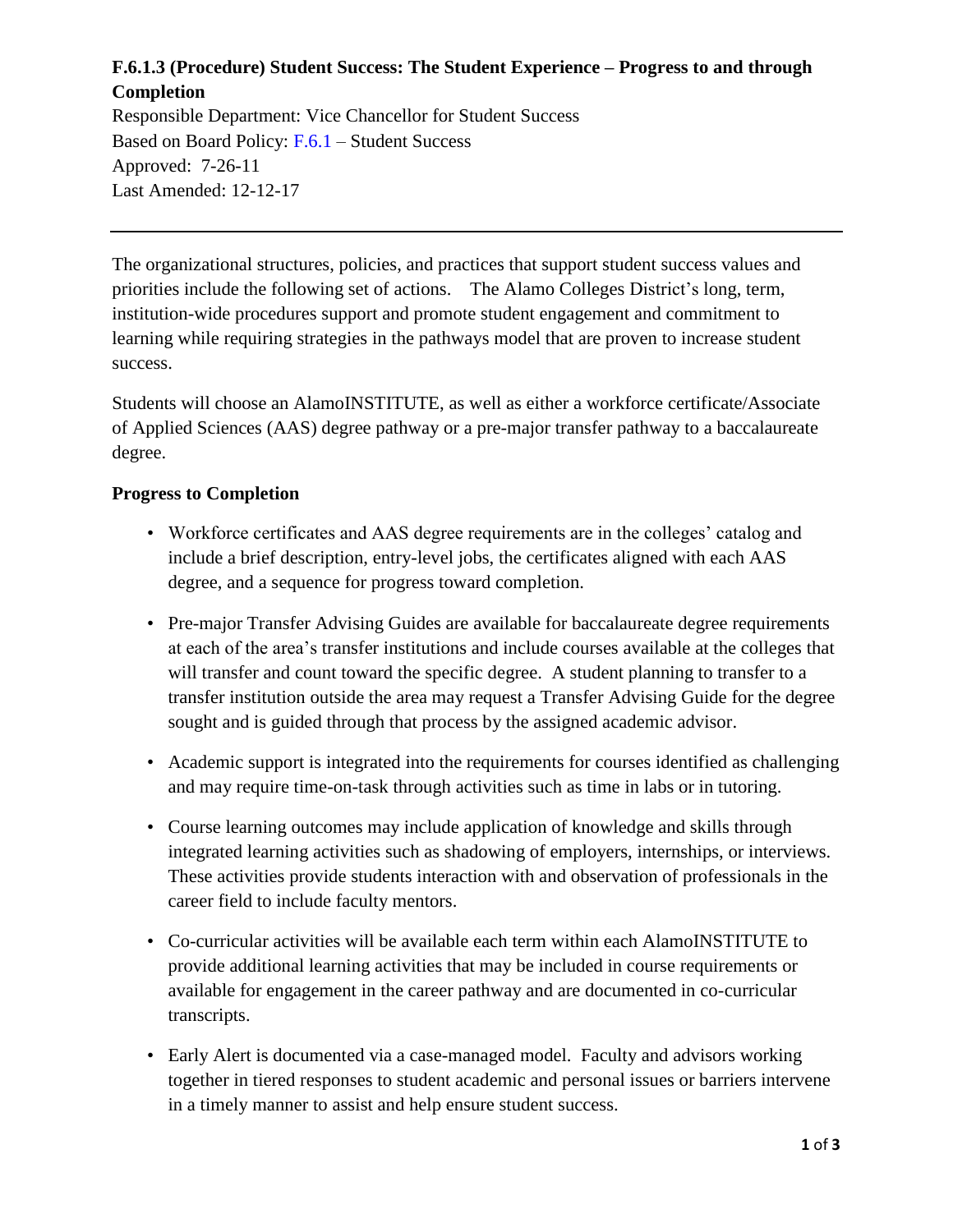# **F.6.1.3 (Procedure) Student Success: The Student Experience – Progress to and through Completion**

Responsible Department: Vice Chancellor for Student Success Based on Board Policy: [F.6.1](https://www.alamo.edu/siteassets/district/about-us/leadership/board-of-trustees/policies-pdfs/section-f/f.6.1-policy.pdf) – Student Success Approved: 7-26-11 Last Amended: 12-12-17

The organizational structures, policies, and practices that support student success values and priorities include the following set of actions. The Alamo Colleges District's long, term, institution-wide procedures support and promote student engagement and commitment to learning while requiring strategies in the pathways model that are proven to increase student success.

Students will choose an AlamoINSTITUTE, as well as either a workforce certificate/Associate of Applied Sciences (AAS) degree pathway or a pre-major transfer pathway to a baccalaureate degree.

### **Progress to Completion**

- Workforce certificates and AAS degree requirements are in the colleges' catalog and include a brief description, entry-level jobs, the certificates aligned with each AAS degree, and a sequence for progress toward completion.
- Pre-major Transfer Advising Guides are available for baccalaureate degree requirements at each of the area's transfer institutions and include courses available at the colleges that will transfer and count toward the specific degree. A student planning to transfer to a transfer institution outside the area may request a Transfer Advising Guide for the degree sought and is guided through that process by the assigned academic advisor.
- Academic support is integrated into the requirements for courses identified as challenging and may require time-on-task through activities such as time in labs or in tutoring.
- Course learning outcomes may include application of knowledge and skills through integrated learning activities such as shadowing of employers, internships, or interviews. These activities provide students interaction with and observation of professionals in the career field to include faculty mentors.
- Co-curricular activities will be available each term within each AlamoINSTITUTE to provide additional learning activities that may be included in course requirements or available for engagement in the career pathway and are documented in co-curricular transcripts.
- Early Alert is documented via a case-managed model. Faculty and advisors working together in tiered responses to student academic and personal issues or barriers intervene in a timely manner to assist and help ensure student success.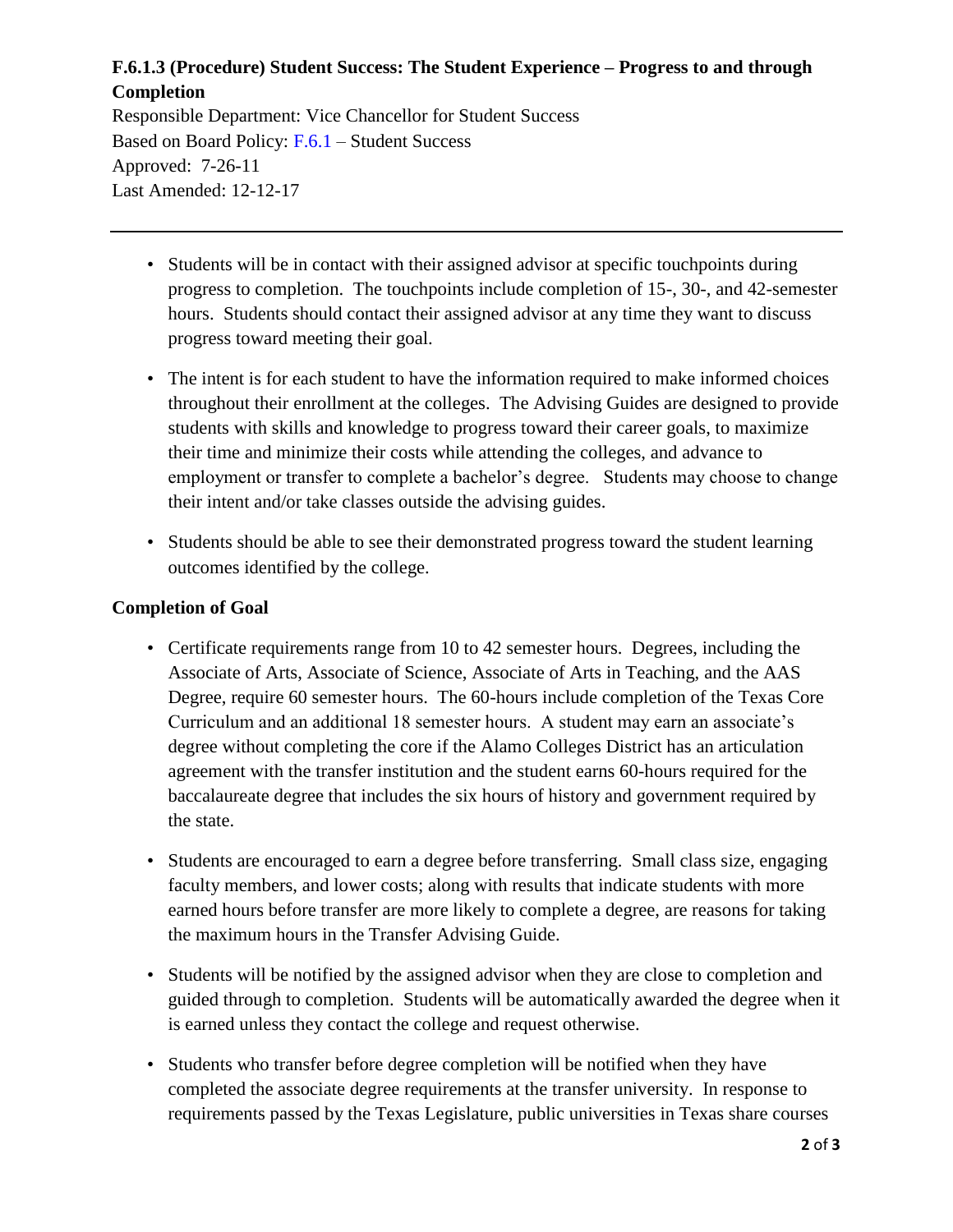# **F.6.1.3 (Procedure) Student Success: The Student Experience – Progress to and through Completion**

Responsible Department: Vice Chancellor for Student Success Based on Board Policy: [F.6.1](https://www.alamo.edu/siteassets/district/about-us/leadership/board-of-trustees/policies-pdfs/section-f/f.6.1-policy.pdf) – Student Success Approved: 7-26-11 Last Amended: 12-12-17

- Students will be in contact with their assigned advisor at specific touchpoints during progress to completion. The touchpoints include completion of 15-, 30-, and 42-semester hours. Students should contact their assigned advisor at any time they want to discuss progress toward meeting their goal.
- The intent is for each student to have the information required to make informed choices throughout their enrollment at the colleges. The Advising Guides are designed to provide students with skills and knowledge to progress toward their career goals, to maximize their time and minimize their costs while attending the colleges, and advance to employment or transfer to complete a bachelor's degree. Students may choose to change their intent and/or take classes outside the advising guides.
- Students should be able to see their demonstrated progress toward the student learning outcomes identified by the college.

#### **Completion of Goal**

- Certificate requirements range from 10 to 42 semester hours. Degrees, including the Associate of Arts, Associate of Science, Associate of Arts in Teaching, and the AAS Degree, require 60 semester hours. The 60-hours include completion of the Texas Core Curriculum and an additional 18 semester hours. A student may earn an associate's degree without completing the core if the Alamo Colleges District has an articulation agreement with the transfer institution and the student earns 60-hours required for the baccalaureate degree that includes the six hours of history and government required by the state.
- Students are encouraged to earn a degree before transferring. Small class size, engaging faculty members, and lower costs; along with results that indicate students with more earned hours before transfer are more likely to complete a degree, are reasons for taking the maximum hours in the Transfer Advising Guide.
- Students will be notified by the assigned advisor when they are close to completion and guided through to completion. Students will be automatically awarded the degree when it is earned unless they contact the college and request otherwise.
- Students who transfer before degree completion will be notified when they have completed the associate degree requirements at the transfer university. In response to requirements passed by the Texas Legislature, public universities in Texas share courses